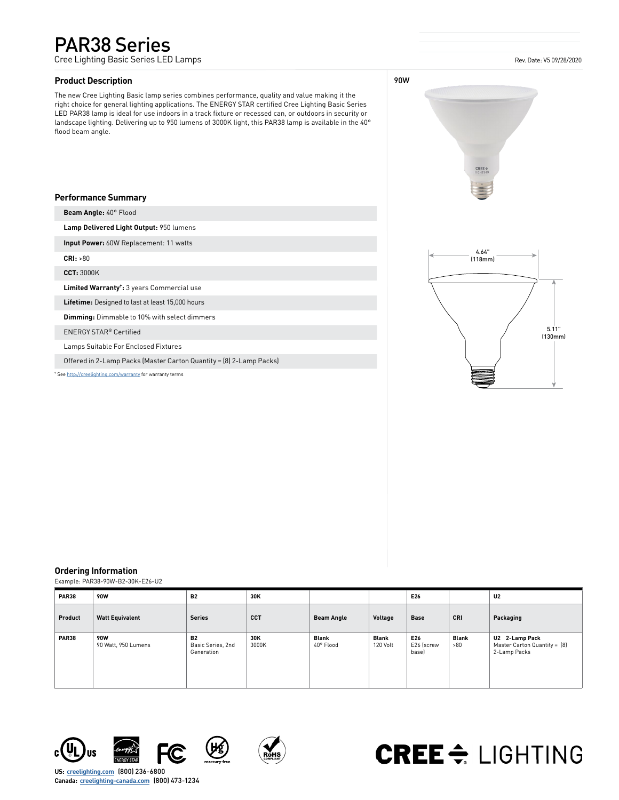# PAR38 Series

Cree Lighting Basic Series LED Lamps

## **Product Description**

The new Cree Lighting Basic lamp series combines performance, quality and value making it the right choice for general lighting applications. The ENERGY STAR certified Cree Lighting Basic Series LED PAR38 lamp is ideal for use indoors in a track fixture or recessed can, or outdoors in security or landscape lighting. Delivering up to 950 lumens of 3000K light, this PAR38 lamp is available in the 40° flood beam angle.



### **Performance Summary**

**Beam Angle:** 40° Flood

**Lamp Delivered Light Output:** 950 lumens

**Input Power:** 60W Replacement: 11 watts

**CRI:** >80

**CCT:** 3000K

**Limited Warranty†:** 3 years Commercial use

**Lifetime:** Designed to last at least 15,000 hours

**Dimming:** Dimmable to 10% with select dimmers

ENERGY STAR® Certified

Lamps Suitable For Enclosed Fixtures

Offered in 2-Lamp Packs (Master Carton Quantity = (8) 2-Lamp Packs)

† See [http://creelighting.com/warranty](https://www.creelighting.com/warranty) for warranty terms



#### **Ordering Information**

Example: PAR38-90W-B2-30K-E26-U2

| PAR38        | <b>90W</b>                        | <b>B2</b>                                    | 30K          |                           | E26                      |                            |                     | U <sub>2</sub>                                                 |  |
|--------------|-----------------------------------|----------------------------------------------|--------------|---------------------------|--------------------------|----------------------------|---------------------|----------------------------------------------------------------|--|
| Product      | <b>Watt Equivalent</b>            | <b>Series</b>                                | <b>CCT</b>   | <b>Beam Angle</b>         | Voltage                  | Base                       | <b>CRI</b>          | Packaging                                                      |  |
| <b>PAR38</b> | <b>90W</b><br>90 Watt, 950 Lumens | <b>B2</b><br>Basic Series, 2nd<br>Generation | 30K<br>3000K | <b>Blank</b><br>40° Flood | <b>Blank</b><br>120 Volt | E26<br>E26 (screw<br>basel | <b>Blank</b><br>>80 | U2 2-Lamp Pack<br>Master Carton Quantity = [8]<br>2-Lamp Packs |  |









# **CREE**  $\Leftarrow$  LIGHTING

**US: [creelighting.com](http://www.creelighting.com)** (800) 236-6800 **Canada: [creelighting-canada.com](http://www.creelighting-canada.com)** (800) 473-1234